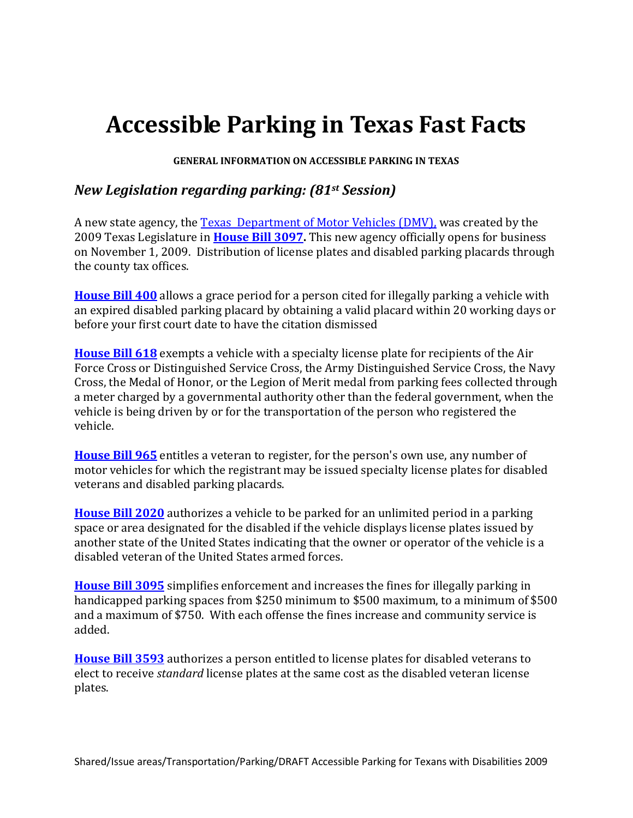# **Accessible Parking in Texas Fast Facts**

**GENERAL INFORMATION ON ACCESSIBLE PARKING IN TEXAS** 

## *New Legislation regarding parking: (81st Session)*

A new state agency, the [Texas Department of Motor Vehicles \(DMV\),](http://www.txdmv.gov/) was created by the 2009 Texas Legislature in **[House Bill 3097.](http://www.capitol.state.tx.us/BillLookup/History.aspx?LegSess=81R&Bill=HB3097)** This new agency officially opens for business on November 1, 2009. Distribution of license plates and disabled parking placards through the county tax offices.

**[House Bill 400](http://www.legis.state.tx.us/BillLookup/History.aspx?LegSess=81R&Bill=HB400)** allows a grace period for a person cited for illegally parking a vehicle with an expired disabled parking placard by obtaining a valid placard within 20 working days or before your first court date to have the citation dismissed

**[House Bill 618](http://www.legis.state.tx.us/BillLookup/History.aspx?LegSess=81R&Bill=HB618)** exempts a vehicle with a specialty license plate for recipients of the Air Force Cross or Distinguished Service Cross, the Army Distinguished Service Cross, the Navy Cross, the Medal of Honor, or the Legion of Merit medal from parking fees collected through a meter charged by a governmental authority other than the federal government, when the vehicle is being driven by or for the transportation of the person who registered the vehicle.

**[House Bill 965](http://www.legis.state.tx.us/BillLookup/History.aspx?LegSess=81R&Bill=HB965)** entitles a veteran to register, for the person's own use, any number of motor vehicles for which the registrant may be issued specialty license plates for disabled veterans and disabled parking placards.

**[House Bill 2020](http://www.legis.state.tx.us/BillLookup/History.aspx?LegSess=81R&Bill=HB2020)** authorizes a vehicle to be parked for an unlimited period in a parking space or area designated for the disabled if the vehicle displays license plates issued by another state of the United States indicating that the owner or operator of the vehicle is a disabled veteran of the United States armed forces.

**[House Bill 3095](http://www.legis.state.tx.us/BillLookup/History.aspx?LegSess=81R&Bill=HB3095)** simplifies enforcement and increases the fines for illegally parking in handicapped parking spaces from \$250 minimum to \$500 maximum, to a minimum of \$500 and a maximum of \$750. With each offense the fines increase and community service is added.

**[House Bill 3593](http://www.legis.state.tx.us/BillLookup/History.aspx?LegSess=81R&Bill=HB3593)** authorizes a person entitled to license plates for disabled veterans to elect to receive *standard* license plates at the same cost as the disabled veteran license plates.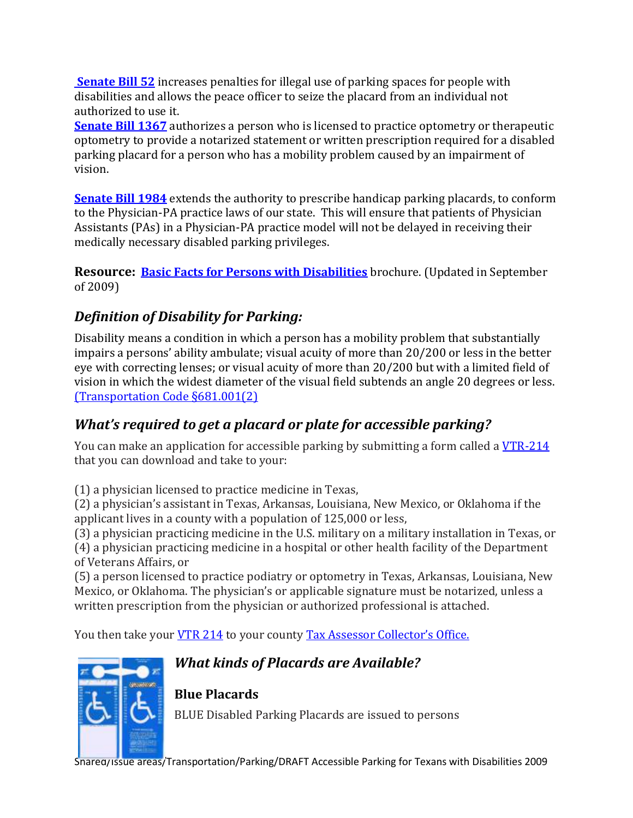**[Senate Bill 52](http://www.legis.state.tx.us/BillLookup/History.aspx?LegSess=81R&Bill=SB52)** increases penalties for illegal use of parking spaces for people with disabilities and allows the peace officer to seize the placard from an individual not authorized to use it.

**[Senate Bill 1367](http://www.legis.state.tx.us/BillLookup/History.aspx?LegSess=81R&Bill=SB1367)** authorizes a person who is licensed to practice optometry or therapeutic optometry to provide a notarized statement or written prescription required for a disabled parking placard for a person who has a mobility problem caused by an impairment of vision.

**[Senate Bill 1984](http://www.legis.state.tx.us/BillLookup/History.aspx?LegSess=81R&Bill=SB1984)** extends the authority to prescribe handicap parking placards, to conform to the Physician-PA practice laws of our state. This will ensure that patients of Physician Assistants (PAs) in a Physician-PA practice model will not be delayed in receiving their medically necessary disabled parking privileges.

**Resource: [Basic Facts for Persons with Disabilities](ftp://ftp.dot.state.tx.us/pub/txdot-info/vtr/misc/vtr_427.pdf)** brochure. (Updated in September of 2009)

# *Definition of Disability for Parking:*

Disability means a condition in which a person has a mobility problem that substantially impairs a persons' ability ambulate; visual acuity of more than 20/200 or less in the better eye with correcting lenses; or visual acuity of more than 20/200 but with a limited field of vision in which the widest diameter of the visual field subtends an angle 20 degrees or less. [\(Transportation Code §681.001\(2\)](http://law.justia.com/texas/codes/tn/007.00.000681.00.html) 

# *What's required to get a placard or plate for accessible parking?*

You can make an application for accessible parking by submitting a form called a [VTR-214](http://www.dot.state.tx.us/txdoteforms/GetForm?formName=/VTR-214.pdf&preference=PDFForm&appID=/vtr&fileID=1233334&status=/reportError.jsp&configFile=WFServletConfig.xml)  that you can download and take to your:

(1) a physician licensed to practice medicine in Texas,

 $(2)$  a physician's assistant in Texas, Arkansas, Louisiana, New Mexico, or Oklahoma if the applicant lives in a county with a population of 125,000 or less,

(3) a physician practicing medicine in the U.S. military on a military installation in Texas, or (4) a physician practicing medicine in a hospital or other health facility of the Department of Veterans Affairs, or

(5) a person licensed to practice podiatry or optometry in Texas, Arkansas, Louisiana, New Mexico, or Oklahoma. The physician's or applicable signature must be notarized, unless a written prescription from the physician or authorized professional is attached.

You then take your <u>VTR 214</u> to your county Tax Assessor Collector's Office.



# *What kinds of Placards are Available?*

# **Blue Placards**

BLUE Disabled Parking Placards are issued to persons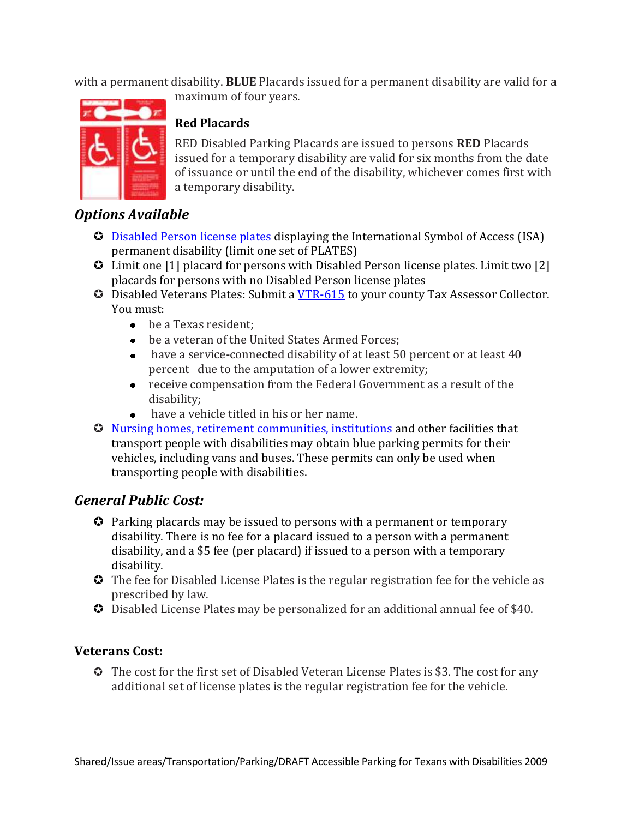with a permanent disability. **BLUE** Placards issued for a permanent disability are valid for a maximum of four years.



### **Red Placards**

RED Disabled Parking Placards are issued to persons **RED** Placards issued for a temporary disability are valid for six months from the date of issuance or until the end of the disability, whichever comes first with a temporary disability.

# *Options Available*

- **C** [Disabled Person license plates](http://www.txdmv.gov/vehicles/drivers/disabled.htm) displaying the International Symbol of Access (ISA) permanent disability (limit one set of PLATES)
- Limit one [1] placard for persons with Disabled Person license plates. Limit two [2] placards for persons with no Disabled Person license plates
- **C** Disabled Veterans Plates: Submit a <u>VTR-615</u> to your county Tax Assessor Collector. You must:
	- be a Texas resident;
	- be a veteran of the United States Armed Forces;
	- have a service-connected disability of at least 50 percent or at least 40 percent due to the amputation of a lower extremity;
	- receive compensation from the Federal Government as a result of the disability;
	- have a vehicle titled in his or her name.
- [Nursing homes, retirement communities, institutions](http://www.txdmv.gov/vehicles/drivers/disabled.htm) and other facilities that transport people with disabilities may obtain blue parking permits for their vehicles, including vans and buses. These permits can only be used when transporting people with disabilities.

## *General Public Cost:*

- Parking placards may be issued to persons with a permanent or temporary disability. There is no fee for a placard issued to a person with a permanent disability, and a \$5 fee (per placard) if issued to a person with a temporary disability.
- $\bullet$  The fee for Disabled License Plates is the regular registration fee for the vehicle as prescribed by law.
- Disabled License Plates may be personalized for an additional annual fee of \$40.

#### **Veterans Cost:**

 The cost for the first set of Disabled Veteran License Plates is \$3. The cost for any additional set of license plates is the regular registration fee for the vehicle.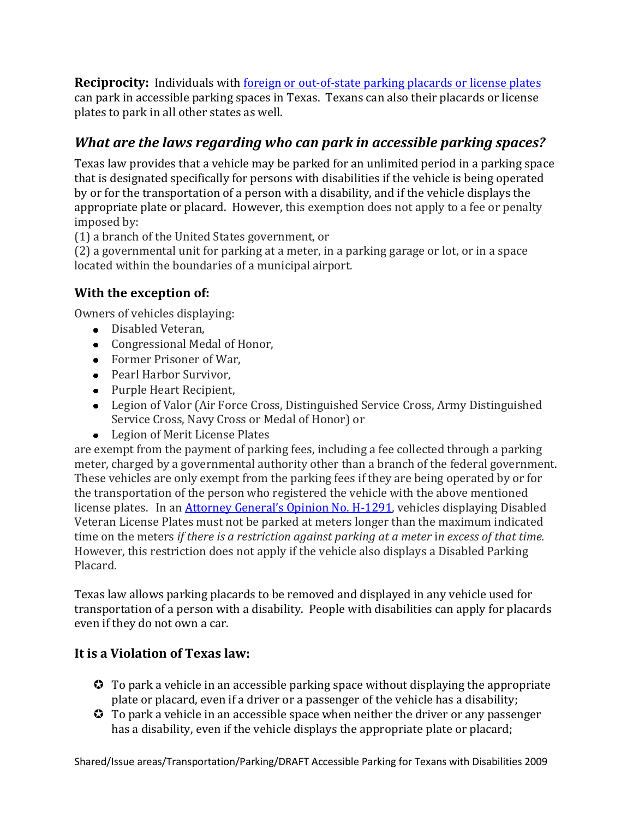**Reciprocity:** Individuals with <u>foreign or out-of-state parking placards or license plates</u> can park in accessible parking spaces in Texas. Texans can also their placards or license plates to park in all other states as well.

# *What are the laws regarding who can park in accessible parking spaces?*

Texas law provides that a vehicle may be parked for an unlimited period in a parking space that is designated specifically for persons with disabilities if the vehicle is being operated by or for the transportation of a person with a disability, and if the vehicle displays the appropriate plate or placard. However, this exemption does not apply to a fee or penalty imposed by:

(1) a branch of the United States government, or

(2) a governmental unit for parking at a meter, in a parking garage or lot, or in a space located within the boundaries of a municipal airport.

# **With the exception of:**

Owners of vehicles displaying:

- Disabled Veteran,
- Congressional Medal of Honor,
- Former Prisoner of War,
- Pearl Harbor Survivor,
- Purple Heart Recipient,
- Legion of Valor (Air Force Cross, Distinguished Service Cross, Army Distinguished Service Cross, Navy Cross or Medal of Honor) or
- Legion of Merit License Plates

are exempt from the payment of parking fees, including a fee collected through a parking meter, charged by a governmental authority other than a branch of the federal government. These vehicles are only exempt from the parking fees if they are being operated by or for the transportation of the person who registered the vehicle with the above mentioned license plates. In an *Attorney General's Opinion No. H-1291*, vehicles displaying Disabled Veteran License Plates must not be parked at meters longer than the maximum indicated time on the meters *if there is a restriction against parking at a meter* i*n excess of that time.*  However, this restriction does not apply if the vehicle also displays a Disabled Parking Placard.

Texas law allows parking placards to be removed and displayed in any vehicle used for transportation of a person with a disability. People with disabilities can apply for placards even if they do not own a car.

## **It is a Violation of Texas law:**

- To park a vehicle in an accessible parking space without displaying the appropriate plate or placard, even if a driver or a passenger of the vehicle has a disability;
- To park a vehicle in an accessible space when neither the driver or any passenger has a disability, even if the vehicle displays the appropriate plate or placard;

Shared/Issue areas/Transportation/Parking/DRAFT Accessible Parking for Texans with Disabilities 2009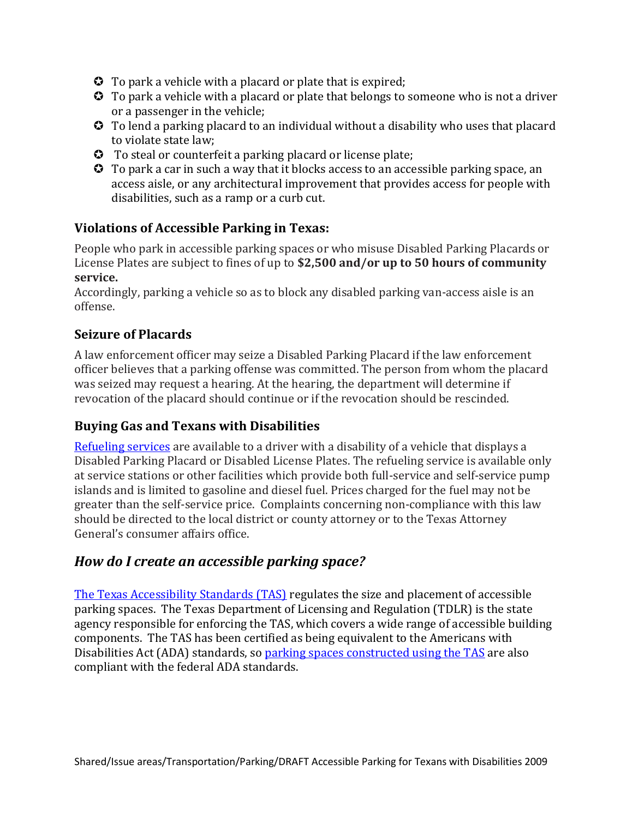- **O** To park a vehicle with a placard or plate that is expired;
- To park a vehicle with a placard or plate that belongs to someone who is not a driver or a passenger in the vehicle;
- To lend a parking placard to an individual without a disability who uses that placard to violate state law;
- To steal or counterfeit a parking placard or license plate;
- To park a car in such a way that it blocks access to an accessible parking space, an access aisle, or any architectural improvement that provides access for people with disabilities, such as a ramp or a curb cut.

#### **Violations of Accessible Parking in Texas:**

People who park in accessible parking spaces or who misuse Disabled Parking Placards or License Plates are subject to fines of up to **\$2,500 and/or up to 50 hours of community service.** 

Accordingly, parking a vehicle so as to block any disabled parking van-access aisle is an offense.

#### **Seizure of Placards**

A law enforcement officer may seize a Disabled Parking Placard if the law enforcement officer believes that a parking offense was committed. The person from whom the placard was seized may request a hearing. At the hearing, the department will determine if revocation of the placard should continue or if the revocation should be rescinded.

#### **Buying Gas and Texans with Disabilities**

[Refueling services](http://www.ada.gov/publicat.htm) are available to a driver with a disability of a vehicle that displays a Disabled Parking Placard or Disabled License Plates. The refueling service is available only at service stations or other facilities which provide both full-service and self-service pump islands and is limited to gasoline and diesel fuel. Prices charged for the fuel may not be greater than the self-service price. Complaints concerning non-compliance with this law should be directed to the local district or county attorney or to the Texas Attorney General's consumer affairs office.

#### *How do I create an accessible parking space?*

[The Texas Accessibility Standards \(TAS\)](http://www.license.state.tx.us/ab/abtas.htm) regulates the size and placement of accessible parking spaces. The Texas Department of Licensing and Regulation (TDLR) is the state agency responsible for enforcing the TAS, which covers a wide range of accessible building components. The TAS has been certified as being equivalent to the Americans with Disabilities Act (ADA) standards, so [parking spaces constructed using the TAS](http://www.license.state.tx.us/ab/abtas4a.htm#4.6) are also compliant with the federal ADA standards.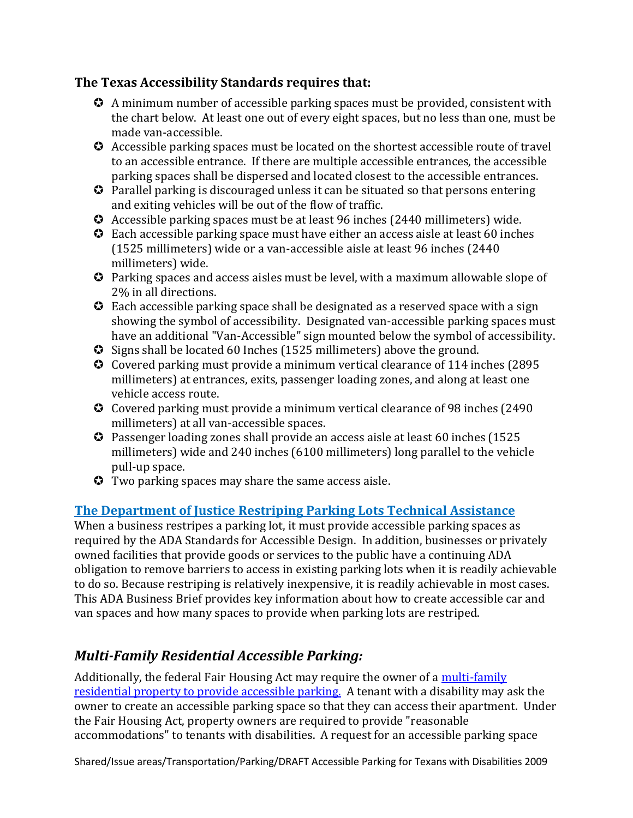#### **The Texas Accessibility Standards requires that:**

- A minimum number of accessible parking spaces must be provided, consistent with the chart below. At least one out of every eight spaces, but no less than one, must be made van-accessible.
- Accessible parking spaces must be located on the shortest accessible route of travel to an accessible entrance. If there are multiple accessible entrances, the accessible parking spaces shall be dispersed and located closest to the accessible entrances.
- Parallel parking is discouraged unless it can be situated so that persons entering and exiting vehicles will be out of the flow of traffic.
- Accessible parking spaces must be at least 96 inches (2440 millimeters) wide.
- Each accessible parking space must have either an access aisle at least 60 inches (1525 millimeters) wide or a van-accessible aisle at least 96 inches (2440 millimeters) wide.
- Parking spaces and access aisles must be level, with a maximum allowable slope of 2% in all directions.
- Each accessible parking space shall be designated as a reserved space with a sign showing the symbol of accessibility. Designated van-accessible parking spaces must have an additional "Van-Accessible" sign mounted below the symbol of accessibility.
- Signs shall be located 60 Inches (1525 millimeters) above the ground.
- Covered parking must provide a minimum vertical clearance of 114 inches (2895 millimeters) at entrances, exits, passenger loading zones, and along at least one vehicle access route.
- Covered parking must provide a minimum vertical clearance of 98 inches (2490 millimeters) at all van-accessible spaces.
- Passenger loading zones shall provide an access aisle at least 60 inches (1525 millimeters) wide and 240 inches (6100 millimeters) long parallel to the vehicle pull-up space.
- Two parking spaces may share the same access aisle.

## **[The Department of Justice Restriping Parking Lots Technical Assistance](http://www.ada.gov/restribr.pdf)**

When a business restripes a parking lot, it must provide accessible parking spaces as required by the ADA Standards for Accessible Design. In addition, businesses or privately owned facilities that provide goods or services to the public have a continuing ADA obligation to remove barriers to access in existing parking lots when it is readily achievable to do so. Because restriping is relatively inexpensive, it is readily achievable in most cases. This ADA Business Brief provides key information about how to create accessible car and van spaces and how many spaces to provide when parking lots are restriped.

# *Multi-Family Residential Accessible Parking:*

Additionally, the federal Fair Housing Act may require the owner of a [multi-family](http://www.fairhousingfirst.org/faq/parkingspaces.html)  [residential property to provide accessible parking.](http://www.fairhousingfirst.org/faq/parkingspaces.html) A tenant with a disability may ask the owner to create an accessible parking space so that they can access their apartment. Under the Fair Housing Act, property owners are required to provide "reasonable accommodations" to tenants with disabilities. A request for an accessible parking space

Shared/Issue areas/Transportation/Parking/DRAFT Accessible Parking for Texans with Disabilities 2009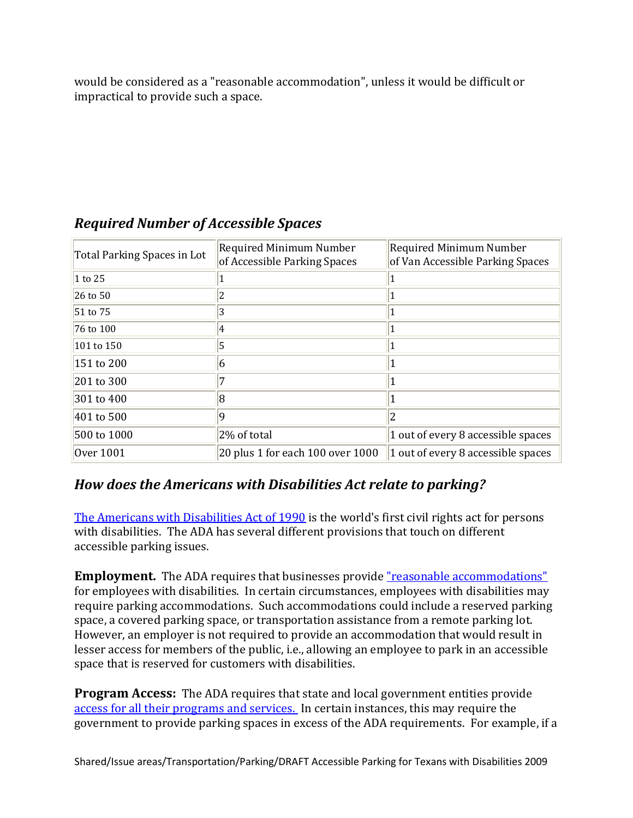would be considered as a "reasonable accommodation", unless it would be difficult or impractical to provide such a space.

| Total Parking Spaces in Lot | Required Minimum Number<br>of Accessible Parking Spaces | Required Minimum Number<br>of Van Accessible Parking Spaces |
|-----------------------------|---------------------------------------------------------|-------------------------------------------------------------|
| 1 to 25                     |                                                         |                                                             |
| 26 to 50                    | 2                                                       |                                                             |
| 51 to 75                    | 3                                                       |                                                             |
| 76 to 100                   | 4                                                       |                                                             |
| 101 to 150                  | 5                                                       |                                                             |
| 151 to 200                  | 6                                                       |                                                             |
| 201 to 300                  |                                                         |                                                             |
| 301 to 400                  | R)                                                      |                                                             |
| 401 to 500                  | q                                                       |                                                             |
| 500 to 1000                 | 2% of total                                             | 1 out of every 8 accessible spaces                          |
| Over 1001                   | 20 plus 1 for each 100 over 1000                        | 1 out of every 8 accessible spaces                          |

## *Required Number of Accessible Spaces*

## *How does the Americans with Disabilities Act relate to parking?*

[The Americans with Disabilities Act of 1990](http://www.ada.gov/videogallery.htm) is the world's first civil rights act for persons with disabilities. The ADA has several different provisions that touch on different accessible parking issues.

**Employment.** The ADA requires that businesses provide "reasonable accommodations" for employees with disabilities. In certain circumstances, employees with disabilities may require parking accommodations. Such accommodations could include a reserved parking space, a covered parking space, or transportation assistance from a remote parking lot. However, an employer is not required to provide an accommodation that would result in lesser access for members of the public, i.e., allowing an employee to park in an accessible space that is reserved for customers with disabilities.

**Program Access:** The ADA requires that state and local government entities provide [access for all their programs and services.](http://www.ada.gov/business.htm) In certain instances, this may require the government to provide parking spaces in excess of the ADA requirements. For example, if a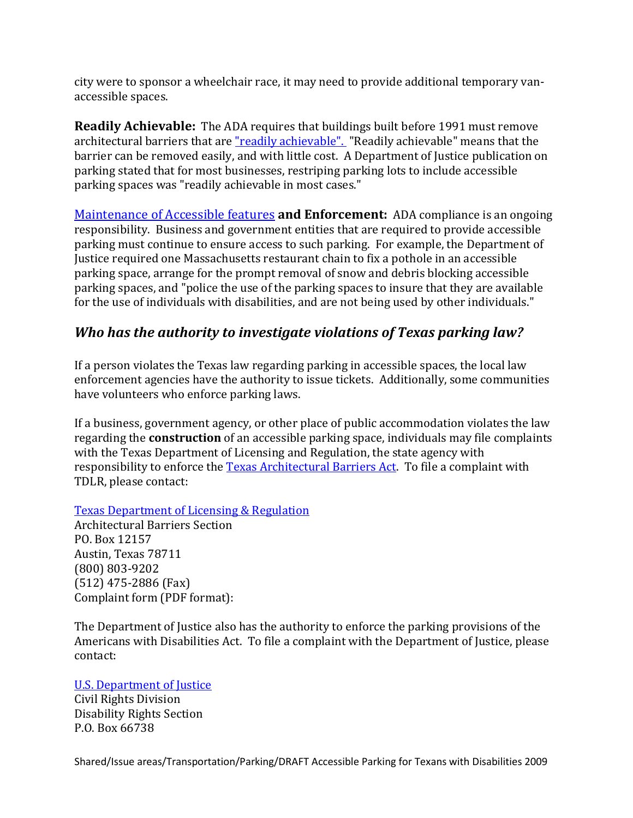city were to sponsor a wheelchair race, it may need to provide additional temporary vanaccessible spaces.

**Readily Achievable:** The ADA requires that buildings built before 1991 must remove architectural barriers that are ["readily achievable".](http://www.ada.gov/adata1.htm) "Readily achievable" means that the barrier can be removed easily, and with little cost. A Department of Justice publication on parking stated that for most businesses, restriping parking lots to include accessible parking spaces was "readily achievable in most cases."

[Maintenance of Accessible features](http://www.ada.gov/business/retail_access.htm) **and Enforcement:** ADA compliance is an ongoing responsibility. Business and government entities that are required to provide accessible parking must continue to ensure access to such parking. For example, the Department of Justice required one Massachusetts restaurant chain to fix a pothole in an accessible parking space, arrange for the prompt removal of snow and debris blocking accessible parking spaces, and "police the use of the parking spaces to insure that they are available for the use of individuals with disabilities, and are not being used by other individuals."

## *Who has the authority to investigate violations of Texas parking law?*

If a person violates the Texas law regarding parking in accessible spaces, the local law enforcement agencies have the authority to issue tickets. Additionally, some communities have volunteers who enforce parking laws.

If a business, government agency, or other place of public accommodation violates the law regarding the **construction** of an accessible parking space, individuals may file complaints with the Texas Department of Licensing and Regulation, the state agency with responsibility to enforce the [Texas Architectural Barriers Act.](http://www.license.state.tx.us/ab/ab.htm) To file a complaint with TDLR, please contact:

[Texas Department of Licensing & Regulation](http://www.license.state.tx.us/) 

Architectural Barriers Section PO. Box 12157 Austin, Texas 78711 (800) 803-9202 (512) 475-2886 (Fax) Complaint form (PDF format):

The Department of Justice also has the authority to enforce the parking provisions of the Americans with Disabilities Act. To file a complaint with the Department of Justice, please contact:

#### [U.S. Department of Justice](http://www.usdoj.gov/crt/ada/adahom1.htm)

Civil Rights Division Disability Rights Section P.O. Box 66738

Shared/Issue areas/Transportation/Parking/DRAFT Accessible Parking for Texans with Disabilities 2009